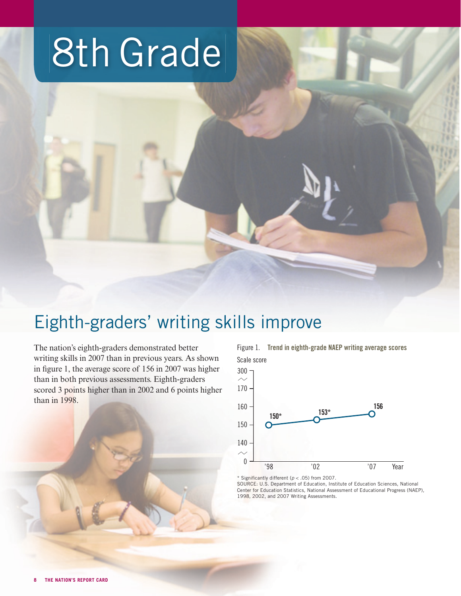# 8th Grade

# Eighth-graders' writing skills improve

The nation's eighth-graders demonstrated better writing skills in 2007 than in previous years. As shown in figure 1, the average score of  $156$  in 2007 was higher than in both previous assessments. Eighth-graders scored 3 points higher than in 2002 and 6 points higher than in 1998.

Figure 1. Trend in eighth-grade NAEP writing average scores Scale score



\* Significantly different ( $p < .05$ ) from 2007.

SOURCE: U.S. Department of Education, Institute of Education Sciences, National Center for Education Statistics, National Assessment of Educational Progress (NAEP), 1998, 2002, and 2007 Writing Assessments.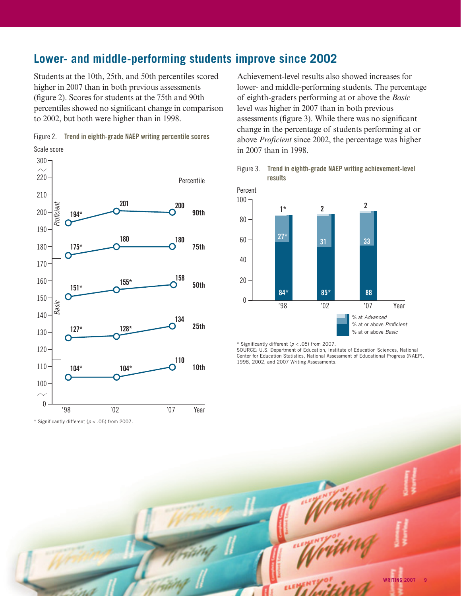# **Lower- and middle-performing students improve since 2002**

Students at the 10th, 25th, and 50th percentiles scored higher in 2007 than in both previous assessments (figure 2). Scores for students at the 75th and 90th percentiles showed no significant change in comparison to 2002, but both were higher than in 1998.





\* Significantly different ( $p < .05$ ) from 2007.

Achievement-level results also showed increases for lower- and middle-performing students. The percentage of eighth-graders performing at or above the *Basic* level was higher in 2007 than in both previous assessments (figure 3). While there was no significant change in the percentage of students performing at or above *Proficient* since 2002, the percentage was higher in 2007 than in 1998.





\* Significantly different ( $p < .05$ ) from 2007.

SOURCE: U.S. Department of Education, Institute of Education Sciences, National Center for Education Statistics, National Assessment of Educational Progress (NAEP), 1998, 2002, and 2007 Writing Assessments.

Writin

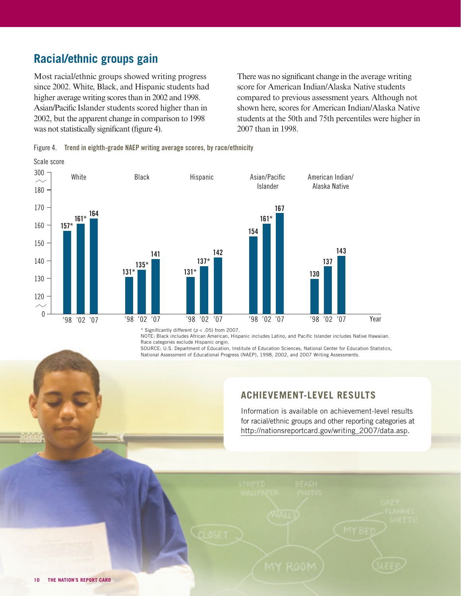# **Racial/ethnic groups gain**

Scale score

Most racial/ethnic groups showed writing progress since 2002. White, Black, and Hispanic students had higher average writing scores than in 2002 and 1998. Asian/Pacific Islander students scored higher than in 2002, but the apparent change in comparison to 1998 was not statistically significant (figure 4).

There was no significant change in the average writing score for American Indian/Alaska Native students compared to previous assessment years. Although not shown here, scores for American Indian/Alaska Native students at the 50th and 75th percentiles were higher in 2007 than in 1998.





\* Significantly different ( $p < .05$ ) from 2007.

NOTE: Black includes African American, Hispanic includes Latino, and Pacific Islander includes Native Hawaiian. Race categories exclude Hispanic origin.

SOURCE: U.S. Department of Education, Institute of Education Sciences, National Center for Education Statistics, National Assessment of Educational Progress (NAEP), 1998, 2002, and 2007 Writing Assessments.

#### **ACHIEVEMENT-LEVEL RESULTS**

Information is available on achievement-level results for racial/ethnic groups and other reporting categories at http://nationsreportcard.gov/writing\_2007/data.asp.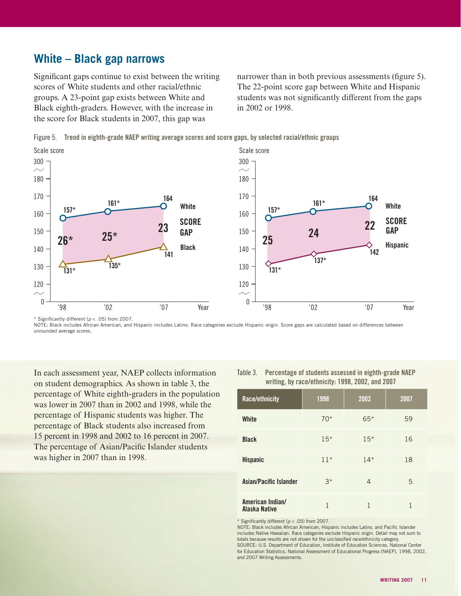## **White – Black gap narrows**

Significant gaps continue to exist between the writing scores of White students and other racial/ethnic groups. A 23-point gap exists between White and Black eighth-graders. However, with the increase in the score for Black students in 2007, this gap was

narrower than in both previous assessments (figure 5). The 22-point score gap between White and Hispanic students was not significantly different from the gaps in 2002 or 1998.

Figure 5. Trend in eighth-grade NAEP writing average scores and score gaps, by selected racial/ethnic groups



\* Significantly different ( $p < .05$ ) from 2007.

NOTE: Black includes African American, and Hispanic includes Latino. Race categories exclude Hispanic origin. Score gaps are calculated based on differences between unrounded average scores.

In each assessment year, NAEP collects information on student demographics. As shown in table 3, the percentage of White eighth-graders in the population was lower in 2007 than in 2002 and 1998, while the percentage of Hispanic students was higher. The percentage of Black students also increased from 15 percent in 1998 and 2002 to 16 percent in 2007. The percentage of Asian/Pacific Islander students was higher in 2007 than in 1998.

| writing, by race/ethnicity: 1998, 2002, and 2007 |       |              |    |  |  |  |
|--------------------------------------------------|-------|--------------|----|--|--|--|
| Race/ethnicity                                   | 1998  | 2002<br>2007 |    |  |  |  |
| White                                            | $70*$ | $65*$        | 59 |  |  |  |
| <b>Black</b>                                     | $15*$ | $15*$        | 16 |  |  |  |
| <b>Hispanic</b>                                  | $11*$ | $14*$        | 18 |  |  |  |
| Asian/Pacific Islander                           | $3^*$ | 4            | 5  |  |  |  |
| American Indian/<br>Alaska Native                | 1     |              |    |  |  |  |

Table 3. Percentage of students assessed in eighth-grade NAEP

\* Significantly different ( $p < .05$ ) from 2007.

NOTE: Black includes African American, Hispanic includes Latino, and Pacific Islander includes Native Hawaiian. Race categories exclude Hispanic origin. Detail may not sum to totals because results are not shown for the unclassified race/ethnicity category. SOURCE: U.S. Department of Education, Institute of Education Sciences, National Center for Education Statistics, National Assessment of Educational Progress (NAEP), 1998, 2002, and 2007 Writing Assessments.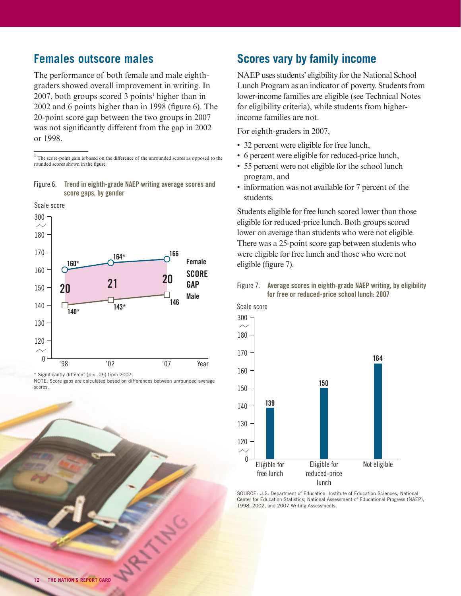## **Females outscore males**

The performance of both female and male eighthgraders showed overall improvement in writing. In  $2007$ , both groups scored 3 points<sup>1</sup> higher than in  $2002$  and 6 points higher than in 1998 (figure 6). The 20-point score gap between the two groups in 2007 was not significantly different from the gap in 2002 or 1998.

<sup>1</sup> The score-point gain is based on the difference of the unrounded scores as opposed to the rounded scores shown in the figure.

Figure 6. Trend in eighth-grade NAEP writing average scores and score gaps, by gender



\* Significantly different ( $p < .05$ ) from 2007.

MAY 1140

## **Scores vary by family income**

NAEP uses students' eligibility for the National School Lunch Program as an indicator of poverty. Students from lower-income families are eligible (see Technical Notes for eligibility criteria), while students from higherincome families are not.

For eighth-graders in 2007,

- 32 percent were eligible for free lunch,
- 6 percent were eligible for reduced-price lunch,
- 55 percent were not eligible for the school lunch program, and
- information was not available for 7 percent of the students.

Students eligible for free lunch scored lower than those eligible for reduced-price lunch. Both groups scored lower on average than students who were not eligible. There was a 25-point score gap between students who were eligible for free lunch and those who were not eligible (figure 7).





SOURCE: U.S. Department of Education, Institute of Education Sciences, National Center for Education Statistics, National Assessment of Educational Progress (NAEP), 1998, 2002, and 2007 Writing Assessments.

NOTE: Score gaps are calculated based on differences between unrounded average scores.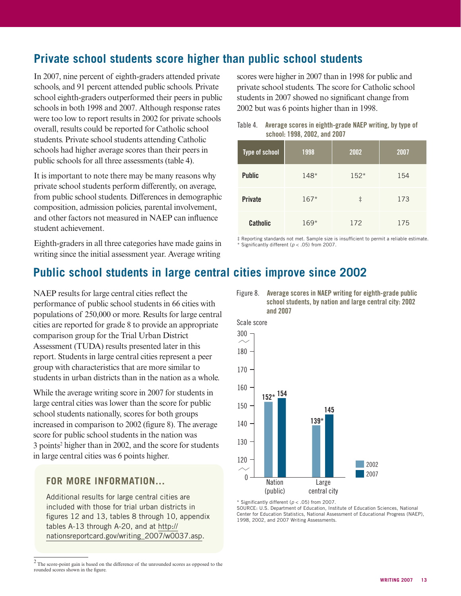# **Private school students score higher than public school students**

In 2007, nine percent of eighth-graders attended private schools, and 91 percent attended public schools. Private school eighth-graders outperformed their peers in public schools in both 1998 and 2007. Although response rates were too low to report results in 2002 for private schools overall, results could be reported for Catholic school students. Private school students attending Catholic schools had higher average scores than their peers in public schools for all three assessments (table 4).

It is important to note there may be many reasons why private school students perform differently, on average, from public school students. Differences in demographic composition, admission policies, parental involvement, and other factors not measured in NAEP can influence student achievement.

Eighth-graders in all three categories have made gains in writing since the initial assessment year. Average writing

scores were higher in 2007 than in 1998 for public and private school students. The score for Catholic school students in 2007 showed no significant change from 2002 but was 6 points higher than in 1998.

| Table 4. | Average scores in eighth-grade NAEP writing, by type of |
|----------|---------------------------------------------------------|
|          | school: 1998, 2002, and 2007                            |

| Type of school  | 1998   | 2002       | 2007 |
|-----------------|--------|------------|------|
| <b>Public</b>   | 148*   | $152*$     | 154  |
| <b>Private</b>  | $167*$ | $\ddagger$ | 173  |
| <b>Catholic</b> | $169*$ | 172        | 175  |

 $#$  Reporting standards not met. Sample size is insufficient to permit a reliable estimate. \* Significantly different ( $p < .05$ ) from 2007.

# **Public school students in large central cities improve since 2002**

NAEP results for large central cities reflect the performance of public school students in 66 cities with populations of 250,000 or more. Results for large central cities are reported for grade 8 to provide an appropriate comparison group for the Trial Urban District Assessment (TUDA) results presented later in this report. Students in large central cities represent a peer group with characteristics that are more similar to students in urban districts than in the nation as a whole.

While the average writing score in 2007 for students in large central cities was lower than the score for public school students nationally, scores for both groups increased in comparison to 2002 (figure 8). The average score for public school students in the nation was 3 points2 higher than in 2002, and the score for students in large central cities was 6 points higher.

#### **FOR MORE INFORMATION...**

Additional results for large central cities are included with those for trial urban districts in figures  $12$  and  $13$ , tables 8 through  $10$ , appendix tables A-13 through A-20, and at http:// [nationsreportcard.gov/writing\\_2007/w0037.asp.](http://nationsreportcard.gov/writing_2007/w0037.asp)





\* Significantly different ( $p < .05$ ) from 2007.

SOURCE: U.S. Department of Education, Institute of Education Sciences, National Center for Education Statistics, National Assessment of Educational Progress (NAEP), 1998, 2002, and 2007 Writing Assessments.

 $2$  The score-point gain is based on the difference of the unrounded scores as opposed to the rounded scores shown in the figure.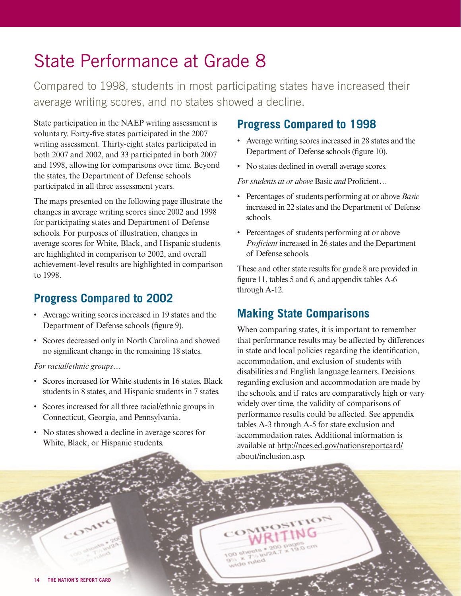# State Performance at Grade 8

Compared to 1998, students in most participating states have increased their average writing scores, and no states showed a decline.

State participation in the NAEP writing assessment is voluntary. Forty-five states participated in the 2007 writing assessment. Thirty-eight states participated in both 2007 and 2002, and 33 participated in both 2007 and 1998, allowing for comparisons over time. Beyond the states, the Department of Defense schools participated in all three assessment years.

The maps presented on the following page illustrate the changes in average writing scores since 2002 and 1998 for participating states and Department of Defense schools. For purposes of illustration, changes in average scores for White, Black, and Hispanic students are highlighted in comparison to 2002, and overall achievement-level results are highlighted in comparison to 1998.

# **Progress Compared to 2002**

- Average writing scores increased in 19 states and the Department of Defense schools (figure 9).
- Scores decreased only in North Carolina and showed no significant change in the remaining 18 states.

*For racial/ethnic groups…* 

- Scores increased for White students in 16 states, Black students in 8 states, and Hispanic students in 7 states.
- Scores increased for all three racial/ethnic groups in Connecticut, Georgia, and Pennsylvania.
- No states showed a decline in average scores for White, Black, or Hispanic students.

## **Progress Compared to 1998**

- Average writing scores increased in 28 states and the Department of Defense schools (figure 10).
- No states declined in overall average scores.

*For students at or above Basic and Proficient...* 

- Percentages of students performing at or above *Basic* increased in 22 states and the Department of Defense schools.
- Percentages of students performing at or above *Proficient* increased in 26 states and the Department of Defense schools.

These and other state results for grade 8 are provided in figure 11, tables 5 and 6, and appendix tables  $A-6$ through A-12.

# **Making State Comparisons**

When comparing states, it is important to remember that performance results may be affected by differences in state and local policies regarding the identification, accommodation, and exclusion of students with disabilities and English language learners. Decisions regarding exclusion and accommodation are made by the schools, and if rates are comparatively high or vary widely over time, the validity of comparisons of performance results could be affected. See appendix tables A-3 through A-5 for state exclusion and accommodation rates. Additional information is [available at http://nces.ed.gov/nationsreportcard/](http://nces.ed.gov/nationsreportcard/about/inclusion.asp) about/inclusion.asp.

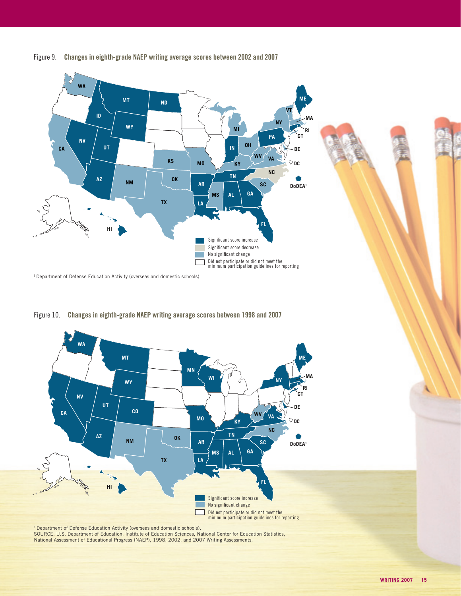![](_page_7_Figure_0.jpeg)

Figure 9. Changes in eighth-grade NAEP writing average scores between 2002 and 2007

<sup>1</sup> Department of Defense Education Activity (overseas and domestic schools).

![](_page_7_Figure_3.jpeg)

Figure 10. Changes in eighth-grade NAEP writing average scores between 1998 and 2007

<sup>1</sup> Department of Defense Education Activity (overseas and domestic schools). SOURCE: U.S. Department of Education, Institute of Education Sciences, National Center for Education Statistics, National Assessment of Educational Progress (NAEP), 1998, 2002, and 2007 Writing Assessments.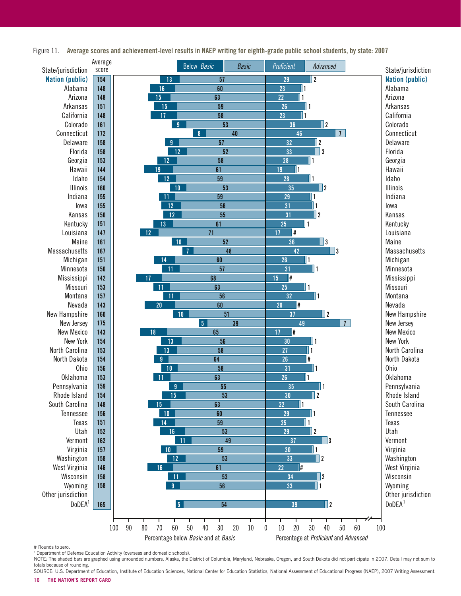![](_page_8_Figure_0.jpeg)

Figure 11. Average scores and achievement-level results in NAEP writing for eighth-grade public school students, by state: 2007

# Rounds to zero.

 $1$  Department of Defense Education Activity (overseas and domestic schools).

NOTE: The shaded bars are graphed using unrounded numbers. Alaska, the District of Columbia, Maryland, Nebraska, Oregon, and South Dakota did not participate in 2007. Detail may not sum to totals because of rounding.

SOURCE: U.S. Department of Education, Institute of Education Sciences, National Center for Education Statistics, National Assessment of Educational Progress (NAEP), 2007 Writing Assessment.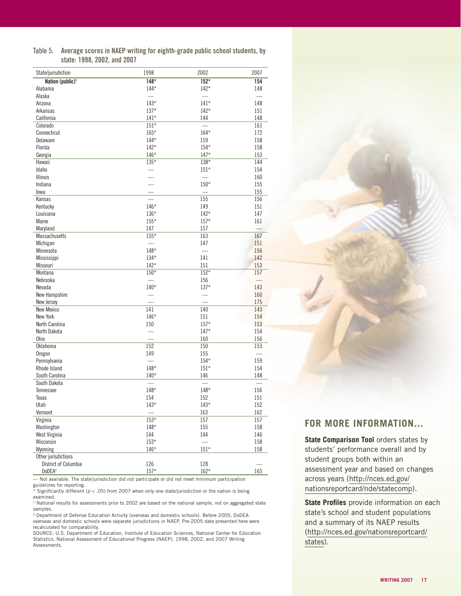Table 5. Average scores in NAEP writing for eighth-grade public school students, by state: 1998, 2002, and 2007

| State/jurisdiction             | 1998     | 2002             | 2007 |
|--------------------------------|----------|------------------|------|
| Nation (public) <sup>1</sup>   | $148*$   | $152*$           | 154  |
| Alabama                        | $144*$   | $142*$           | 148  |
| Alaska                         |          |                  |      |
| Arizona                        | $143*$   | $141*$           | 148  |
| Arkansas                       | $137*$   | $142*$           | 151  |
| California                     | $141*$   | 144              | 148  |
| Colorado                       | $151*$   |                  | 161  |
| Connecticut                    | $165*$   | $164*$           | 172  |
| Delaware                       | $144*$   | 159              | 158  |
| Florida                        | $142*$   | $154*$           | 158  |
| Georgia                        | $146*$   | $147*$           | 153  |
| Hawaii                         | $135*$   | $138*$           | 144  |
| Idaho                          |          | $151*$           | 154  |
| <b>Illinois</b>                |          |                  | 160  |
| Indiana                        |          | $150^{\star}$    | 155  |
| lowa                           |          |                  | 155  |
| Kansas                         |          | 155              | 156  |
| Kentucky                       | $146*$   | 149              | 151  |
| Louisiana                      | $136*$   | $142*$           | 147  |
| Maine                          | $155*$   | $157*$           | 161  |
| Maryland                       | 147      | 157              |      |
| <b>Massachusetts</b>           | $155*$   | 163              | 167  |
| Michigan                       |          | 147              | 151  |
| Minnesota                      | 148*     |                  | 156  |
| Mississippi                    | $134*$   | 141              | 142  |
| Missouri                       | $142*$   | 151              | 153  |
| Montana                        | $150*$   | $152*$           | 157  |
| Nebraska                       |          | 156              |      |
| Nevada                         | $140*$   | $137*$           | 143  |
| New Hampshire                  | $\equiv$ | $\frac{1}{2}$    | 160  |
| New Jersey                     |          |                  | 175  |
| New Mexico                     | 141      | 140              | 143  |
| New York                       | 146*     | 151              | 154  |
| North Carolina                 | 150      | $157*$           | 153  |
| North Dakota                   |          | $147*$           | 154  |
| Ohio                           |          | 160              | 156  |
| <b>Oklahoma</b>                | 152      | 150              | 153  |
| Oregon                         | 149      | 155              |      |
| Pennsylvania                   |          | $154*$           | 159  |
| Rhode Island                   | 148*     | $151*$           | 154  |
| South Carolina                 | $140*$   | 146              | 148  |
| South Dakota                   |          |                  |      |
| Tennessee                      | 148*     | $148*$           | 156  |
| Texas                          | 154      | 152              | 151  |
| Utah                           | $143*$   | $143*$           | 152  |
| Vermont                        |          | 163              | 162  |
| Virginia                       | $153*$   | $\overline{157}$ | 157  |
| Washington                     | $148*$   | 155              | 158  |
| West Virginia                  | 144      | 144              | 146  |
| Wisconsin                      | $153*$   |                  | 158  |
|                                |          | $151*$           |      |
| Wyoming<br>Other jurisdictions | $146*$   |                  | 158  |
| District of Columbia           | 126      | 128              |      |
| DoDEA <sup>2</sup>             | $157*$   | $162*$           | 165  |
|                                |          |                  |      |

— Not available. The state/jurisdiction did not participate or did not meet minimum participation guidelines for reporting.

\* Significantly different ( $p < .05$ ) from 2007 when only one state/jurisdiction or the nation is being examined.

<sup>1</sup> National results for assessments prior to 2002 are based on the national sample, not on aggregated state samples.

<sup>2</sup> Department of Defense Education Activity (overseas and domestic schools). Before 2005, DoDEA overseas and domestic schools were separate jurisdictions in NAEP. Pre-2005 data presented here were recalculated for comparability.

SOURCE: U.S. Department of Education, Institute of Education Sciences, National Center for Education Statistics, National Assessment of Educational Progress (NAEP), 1998, 2002, and 2007 Writing Assessments.

#### **FOR MORE INFORMATION...**

**State Comparison Tool** orders states by students' performance overall and by student groups both within an assessment year and based on changes across years (http://nces.ed.gov/ [nationsreportcard/nde/statecomp\).](http://nces.ed.gov/nationsreportcard/nde/statecomp)

**State Profiles** provide information on each state's school and student populations and a summary of its NAEP results [\(http://nces.ed.gov/nationsreportcard/](http://nces.ed.gov/nationsreportcard/states) states).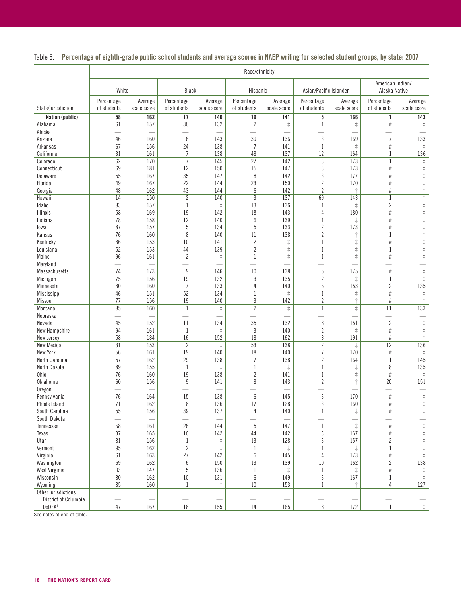Table 6. Percentage of eighth-grade public school students and average scores in NAEP writing for selected student groups, by state: 2007

|                                | Race/ethnicity            |                          |                           |                          |                           |                        |                                  |                          |                                   |                                     |
|--------------------------------|---------------------------|--------------------------|---------------------------|--------------------------|---------------------------|------------------------|----------------------------------|--------------------------|-----------------------------------|-------------------------------------|
|                                | White                     |                          | Black                     |                          | Hispanic                  |                        | Asian/Pacific Islander           |                          | American Indian/<br>Alaska Native |                                     |
| State/jurisdiction             | Percentage<br>of students | Average<br>scale score   | Percentage<br>of students | Average<br>scale score   | Percentage<br>of students | Average<br>scale score | Percentage<br>of students        | Average<br>scale score   | Percentage<br>of students         | Average<br>scale score              |
| Nation (public)                | 58                        | 162                      | 17                        | 140                      | 19                        | 141                    | 5                                | 166                      | $\mathbf{1}$                      | 143                                 |
| Alabama                        | 61                        | 157                      | 36                        | 132                      | $\sqrt{2}$                | $\ddagger$             | $\mathbf{1}$                     | $\ddagger$               | $\#$                              | $\ddagger$                          |
| Alaska                         | $\overline{\phantom{0}}$  |                          |                           |                          |                           |                        |                                  |                          |                                   |                                     |
| Arizona                        | 46                        | 160                      | 6                         | 143                      | 39                        | 136                    | $\sqrt{3}$                       | 169                      | $\overline{7}$                    | 133                                 |
| Arkansas                       | 67                        | 156                      | 24                        | 138                      | $\overline{7}$            | 141                    | $\mathbf{1}$                     | $\ddagger$               | $\#$                              | $\ddagger$                          |
| California                     | 31                        | 161                      | $\overline{7}$            | 138                      | 48                        | 137                    | 12                               | 164                      | $\mathbf{1}$                      | 136                                 |
| Colorado                       | 62                        | 170                      | $\overline{7}$            | 145                      | 27                        | 142                    | 3                                | 173                      | 1                                 | $\ddagger$                          |
| Connecticut                    | 69                        | 181                      | 12                        | 150                      | 15                        | 147                    | $\sqrt{3}$                       | 173                      | $\#$                              | $\ddagger$                          |
| Delaware                       | 55                        | 167                      | 35                        | 147                      | 8                         | 142                    | $\sqrt{3}$                       | 177                      | #                                 | $\ddagger$                          |
| Florida                        | 49<br>48                  | 167<br>162               | 22<br>43                  | 144<br>144               | 23<br>$6\phantom{1}6$     | 150<br>142             | $\overline{c}$<br>$\overline{2}$ | 170                      | #                                 | $\ddagger$                          |
| Georgia<br>Hawaii              | $\overline{14}$           | 150                      | $\overline{2}$            | 140                      | $\overline{3}$            | 137                    | 69                               | $\ddagger$<br>143        | #<br>$\mathbf{1}$                 | $\ddagger$<br>$\overline{\ddagger}$ |
| Idaho                          | 83                        | 157                      | $\mathbf 1$               | $\ddagger$               | 13                        | 136                    | $\mathbf{1}$                     | $\ddagger$               | $\overline{c}$                    | $\ddagger$                          |
| Illinois                       | 58                        | 169                      | 19                        | 142                      | 18                        | 143                    | $\sqrt{4}$                       | 180                      | #                                 | $\ddagger$                          |
| Indiana                        | 78                        | 158                      | 12                        | 140                      | $\boldsymbol{6}$          | 139                    | $\mathbf{1}$                     | $\ddagger$               | #                                 | $\ddagger$                          |
| lowa                           | 87                        | 157                      | $\overline{5}$            | 134                      | 5                         | 133                    | $\overline{2}$                   | 173                      | #                                 | $\ddagger$                          |
| Kansas                         | 76                        | 160                      | 8                         | 140                      | 11                        | 138                    | $\overline{2}$                   | $\ddagger$               | $\mathbf{1}$                      | $\ddagger$                          |
| Kentucky                       | 86                        | 153                      | 10                        | 141                      | $\overline{c}$            | $\ddagger$             | $\mathbf{1}$                     | $\ddagger$               | $\#$                              | $\ddagger$                          |
| Louisiana                      | 52                        | 153                      | 44                        | 139                      | $\overline{c}$            | $\ddagger$             | $\mathbf{1}$                     | $\ddagger$               | $\mathbf{1}$                      | $\ddagger$                          |
| Maine                          | 96                        | 161                      | $\overline{c}$            | $\ddagger$               | 1                         | $\ddagger$             | $\mathbf{1}$                     | $\ddagger$               | #                                 | $\ddagger$                          |
| Maryland                       | <u>e</u>                  | $\overline{\phantom{0}}$ |                           |                          |                           |                        |                                  |                          |                                   |                                     |
| Massachusetts                  | $\overline{74}$           | 173                      | 9                         | 146                      | 10                        | 138                    | $\overline{5}$                   | 175                      | $\#$                              | $\overline{\ddagger}$               |
| Michigan                       | 75                        | 156                      | 19                        | 132                      | 3                         | 135                    | $\sqrt{2}$                       | $\ddagger$               | 1                                 | $\ddagger$                          |
| Minnesota                      | 80                        | 160                      | $\overline{7}$            | 133                      | 4                         | 140                    | $\boldsymbol{6}$                 | 153                      | $\overline{c}$                    | 135                                 |
| Mississippi                    | 46                        | 151                      | 52                        | 134                      | 1                         | $\ddagger$             | $\mathbf{1}$                     | $\ddagger$               | #                                 | $\ddagger$                          |
| Missouri                       | 77                        | 156                      | 19                        | 140                      | 3                         | 142                    | $\sqrt{2}$                       | $\ddagger$               | #                                 | $\ddagger$                          |
| Montana                        | 85                        | 160                      | $1\,$                     | $\ddagger$               | $\overline{2}$            | $\ddagger$             | $\mathbf{1}$                     | $\overline{\ddagger}$    | 11                                | 133                                 |
| Nebraska                       | $\overline{\phantom{0}}$  | $\frac{1}{2}$            | $\equiv$                  | $\overline{\phantom{0}}$ |                           |                        |                                  | $\overline{\phantom{0}}$ |                                   | $\sim$                              |
| Nevada                         | 45                        | 152                      | 11                        | 134                      | 35                        | 132                    | $\,8\,$                          | 151                      | $\overline{2}$                    | $\ddagger$                          |
| New Hampshire                  | 94                        | 161                      | $\mathbf{1}$              | $\ddagger$               | 3                         | 140                    | $\overline{2}$                   | $\ddagger$               | $\#$                              | $\ddagger$                          |
| New Jersey                     | 58                        | 184                      | 16                        | 152                      | 18                        | 162                    | $\,8\,$                          | 191                      | $\#$                              | $\ddagger$                          |
| <b>New Mexico</b>              | $\overline{31}$           | 153                      | $\sqrt{2}$                | $\ddagger$               | 53                        | 138                    | $\overline{2}$                   | $\ddagger$               | 12                                | 136                                 |
| New York                       | 56                        | 161                      | 19                        | 140                      | 18                        | 140                    | $\overline{7}$                   | 170                      | $\#$                              | $\ddagger$                          |
| North Carolina                 | 57                        | 162                      | 29                        | 138                      | $\overline{7}$            | 138                    | $\sqrt{2}$                       | 164                      | $\mathbf{1}$                      | 145                                 |
| North Dakota                   | 89                        | 155                      | $\mathbf{1}$              | $\ddagger$               | 1                         | $\ddagger$             | $\mathbf{1}$                     | $\ddagger$               | 8                                 | 135                                 |
| Ohio                           | 76                        | 160                      | 19                        | 138                      | $\overline{c}$            | 141                    | $\mathbf{1}$                     | $\ddagger$               | $\#$                              | $\ddagger$                          |
| Oklahoma                       | 60                        | 156                      | $\boldsymbol{9}$          | 141                      | 8                         | 143                    | $\overline{2}$                   | $\overline{\ddagger}$    | 20                                | 151                                 |
| Oregon<br>Pennsylvania         | 76                        | 164                      | 15                        | 138                      | 6                         | 145                    | $\sqrt{3}$                       | 170                      | $\#$                              | $\ddagger$                          |
|                                | 71                        | 162                      |                           | 136                      | 17                        |                        | 3                                |                          | $\#$                              | $\ddagger$                          |
| Rhode Island<br>South Carolina | 55                        | 156                      | 8<br>39                   | 137                      | 4                         | 128<br>140             | $\mathbf{1}$                     | 160<br>$\ddagger$        | $\#$                              | $\ddagger$                          |
| South Dakota                   | $\overline{\phantom{0}}$  |                          | $\overline{\phantom{0}}$  |                          |                           |                        |                                  |                          |                                   | $\qquad \qquad -$                   |
| Tennessee                      | 68                        | 161                      | 26                        | 144                      | 5                         | 147                    | $\mathbf{1}$                     | $\ddagger$               | $\#$                              | $\ddagger$                          |
| Texas                          | 37                        | 165                      | 16                        | 142                      | 44                        | 142                    | $\sqrt{3}$                       | 167                      | $\#$                              | $\ddagger$                          |
| Utah                           | 81                        | 156                      | 1                         | $\ddagger$               | 13                        | 128                    | 3                                | 157                      | 2                                 | $\ddagger$                          |
| Vermont                        | 95                        | 162                      | $\overline{2}$            | $\ddagger$               | $\mathbf{1}$              | $\ddagger$             | $\mathbf{1}$                     | $\ddagger$               | 1                                 | $\ddagger$                          |
| Virginia                       | 61                        | 163                      | $\overline{27}$           | 142                      | 6                         | 145                    | $\overline{4}$                   | 173                      | $\#$                              | $\ddagger$                          |
| Washington                     | 69                        | 162                      | 6                         | 150                      | 13                        | 139                    | $10\,$                           | 162                      | $\overline{c}$                    | 138                                 |
| West Virginia                  | 93                        | 147                      | $\sqrt{5}$                | 136                      | $\mathbf{1}$              | $\ddagger$             | $\mathbf{1}$                     | $\ddagger$               | #                                 | $\ddagger$                          |
| Wisconsin                      | 80                        | 162                      | $10\,$                    | 131                      | $\boldsymbol{6}$          | 149                    | $\sqrt{3}$                       | 167                      | 1                                 | $\ddagger$                          |
| Wyoming                        | 85                        | 160                      | $\mathbf{1}$              | $\ddagger$               | $10\,$                    | 153                    | $\mathbf{1}$                     | $\ddagger$               | 4                                 | 127                                 |
| Other jurisdictions            |                           |                          |                           |                          |                           |                        |                                  |                          |                                   |                                     |
| District of Columbia           |                           |                          |                           |                          |                           |                        |                                  |                          |                                   |                                     |
| DoDEA <sup>1</sup>             | 47                        | 167                      | 18                        | 155                      | 14                        | 165                    | 8                                | 172                      | $\mathbf{1}$                      | $\ddagger$                          |

See notes at end of table.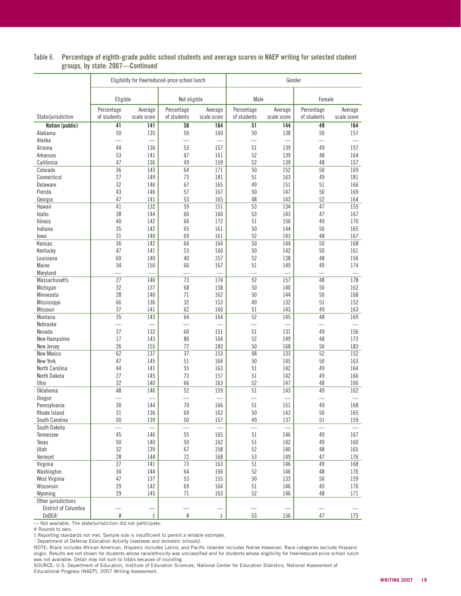|                      | Eligibility for free/reduced-price school lunch |                        |                           | Gender                 |                           |                        |                           |                        |
|----------------------|-------------------------------------------------|------------------------|---------------------------|------------------------|---------------------------|------------------------|---------------------------|------------------------|
|                      | Eligible                                        |                        | Not eligible              |                        | Male                      |                        | Female                    |                        |
| State/jurisdiction   | Percentage<br>of students                       | Average<br>scale score | Percentage<br>of students | Average<br>scale score | Percentage<br>of students | Average<br>scale score | Percentage<br>of students | Average<br>scale score |
| Nation (public)      | 41                                              | 141                    | 58                        | 164                    | 51                        | 144                    | 49                        | 164                    |
| Alabama              | 50                                              | 135                    | 50                        | 160                    | 50                        | 138                    | 50                        | 157                    |
| Alaska               |                                                 |                        | $\overline{\phantom{0}}$  |                        |                           |                        |                           |                        |
| Arizona              | 44                                              | 136                    | 53                        | 157                    | 51                        | 139                    | 49                        | 157                    |
| Arkansas             | 53                                              | 141                    | 47                        | 161                    | 52                        | 139                    | 48                        | 164                    |
| California           | 47                                              | 136                    | 49                        | 159                    | 52                        | 139                    | 48                        | 157                    |
| Colorado             | 36                                              | 143                    | 64                        | 171                    | 50                        | 152                    | 50                        | 169                    |
| Connecticut          | 27                                              | 149                    | 73                        | 181                    | 51                        | 163                    | 49                        | 181                    |
| Delaware             | 32                                              | 146                    | 67                        | 165                    | 49                        | 151                    | 51                        | 166                    |
| Florida              | 43                                              | 146                    | 57                        | 167                    | 50                        | 147                    | 50                        | 169                    |
| Georgia              | 47                                              | 141                    | 53                        | 165                    | 48                        | 143                    | 52                        | 164                    |
| Hawaii               | 41                                              | 132                    | 59                        | 151                    | $\overline{53}$           | 134                    | $\overline{47}$           | 155                    |
| Idaho                | 38                                              | 144                    | 60                        | 160                    | 53                        | 143                    | 47                        | 167                    |
| <b>Illinois</b>      | 40                                              | 142                    | 60                        | 172                    | 51                        | 150                    | 49                        | 170                    |
| Indiana              | 35                                              | 142                    | 65                        | 161                    | 50                        | 144                    | 50                        | 165                    |
| lowa                 | 31                                              | 140                    | 69                        | 161                    | 52                        | 143                    | 48                        | 167                    |
| Kansas               | 36                                              | 142                    | 64                        | 164                    | 50                        | 144                    | 50                        | 168                    |
|                      |                                                 |                        |                           |                        |                           |                        |                           |                        |
| Kentucky             | 47                                              | 141                    | 53                        | 160                    | 50                        | 142                    | 50                        | 161                    |
| Louisiana            | 60                                              | 140                    | 40                        | 157                    | 52                        | 138                    | 48                        | 156                    |
| Maine                | 34                                              | 150                    | 66                        | 167                    | 51                        | 149                    | 49                        | 174                    |
| Maryland             |                                                 |                        |                           |                        |                           |                        |                           |                        |
| Massachusetts        | 27                                              | 146                    | 73                        | 174                    | 52                        | 157                    | 48                        | 178                    |
| Michigan             | 32                                              | 137                    | 68                        | 158                    | 50                        | 140                    | 50                        | 162                    |
| Minnesota            | 28                                              | 140                    | 71                        | 162                    | 50                        | 144                    | 50                        | 168                    |
| Mississippi          | 66                                              | 136                    | 32                        | 153                    | 49                        | 132                    | 51                        | 152                    |
| Missouri             | 37                                              | 141                    | 62                        | 160                    | 51                        | 143                    | 49                        | 163                    |
| Montana              | 35                                              | 143                    | 64                        | 164                    | 52                        | 145                    | 48                        | 169                    |
| Nebraska             |                                                 |                        |                           |                        |                           |                        |                           |                        |
| Nevada               | 37                                              | 132                    | 60                        | 151                    | 51                        | 131                    | 49                        | 156                    |
| New Hampshire        | 17                                              | 143                    | 80                        | 164                    | 52                        | 149                    | 48                        | 173                    |
| New Jersey           | 26                                              | 155                    | 72                        | 183                    | 50                        | 168                    | 50                        | 183                    |
| New Mexico           | 62                                              | 137                    | 37                        | 153                    | 48                        | 133                    | 52                        | 152                    |
| New York             | 47                                              | 145                    | 51                        | 164                    | 50                        | 145                    | 50                        | 163                    |
| North Carolina       | 44                                              | 141                    | 55                        | 163                    | 51                        | 142                    | 49                        | 164                    |
| North Dakota         | 27                                              | 145                    | 73                        | 157                    | 51                        | 142                    | 49                        | 166                    |
| Ohio                 | 32                                              | 140                    | 66                        | 163                    | 52                        | 147                    | 48                        | 166                    |
| Oklahoma             | 48                                              | 146                    | 52                        | 159                    | $\overline{51}$           | 143                    | 49                        | 162                    |
| Oregon               |                                                 |                        |                           |                        |                           |                        |                           |                        |
|                      | 30                                              | 144                    | 70                        | 166                    | 51                        | 151                    | 49                        | 168                    |
| Pennsylvania         |                                                 |                        |                           |                        |                           |                        |                           |                        |
| Rhode Island         | 31                                              | 136                    | 69                        | 162                    | 50                        | 143                    | 50                        | 165                    |
| South Carolina       | 50                                              | 139                    | $50\,$                    | 157                    | 49                        | 137                    | $51\,$                    | 159                    |
| South Dakota         | $\overline{\phantom{0}}$                        |                        | $\overline{\phantom{0}}$  |                        | $\overline{\phantom{a}}$  |                        | $\overline{\phantom{a}}$  |                        |
| Tennessee            | 45                                              | 146                    | 55                        | 165                    | 51                        | 146                    | 49                        | 167                    |
| Texas                | 50                                              | 140                    | 50                        | 162                    | 51                        | 142                    | 49                        | 160                    |
| Utah                 | 32                                              | 139                    | 67                        | 158                    | 52                        | 140                    | 48                        | 165                    |
| Vermont              | 28                                              | 144                    | 72                        | 168                    | 53                        | 149                    | 47                        | 176                    |
| Virginia             | $\overline{27}$                                 | 141                    | $\overline{73}$           | 163                    | 51                        | 146                    | 49                        | 168                    |
| Washington           | 34                                              | 144                    | 64                        | 166                    | 52                        | 146                    | 48                        | 170                    |
| West Virginia        | 47                                              | 137                    | 53                        | 155                    | 50                        | 133                    | 50                        | 159                    |
| Wisconsin            | 29                                              | 142                    | 69                        | 164                    | 51                        | 146                    | 49                        | 170                    |
| Wyoming              | 29                                              | 145                    | 71                        | 163                    | 52                        | 146                    | 48                        | 171                    |
| Other jurisdictions  |                                                 |                        |                           |                        |                           |                        |                           |                        |
| District of Columbia |                                                 |                        |                           |                        |                           |                        |                           |                        |
| DoDEA <sup>1</sup>   | $\#$                                            | $\ddagger$             | #                         | $\ddagger$             | 53                        | 156                    | 47                        | 175                    |

#### Table 6. Percentage of eighth-grade public school students and average scores in NAEP writing for selected student groups, by state: 2007—Continued

— Not available. The state/jurisdiction did not participate.

# Rounds to zero.

‡ Reporting standards not met. Sample size is insufficient to permit a reliable estimate.<br><sup>1</sup> Department of Defense Education Activity (overseas and domestic schools).

NOTE: Black includes African American, Hispanic includes Latino, and Pacific Islander includes Native Hawaiian. Race categories exclude Hispanic origin. Results are not shown for students whose race/ethnicity was unclassified and for students whose eligibility for free/reduced-price school lunch was not available. Detail may not sum to totals because of rounding.

SOURCE: U.S. Department of Education, Institute of Education Sciences, National Center for Education Statistics, National Assessment of Educational Progress (NAEP), 2007 Writing Assessment.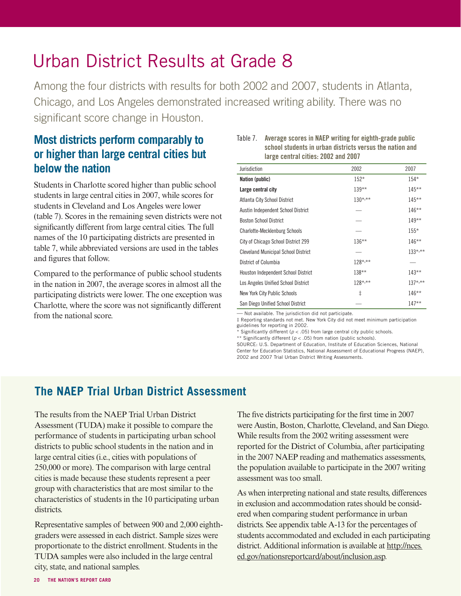# Urban District Results at Grade 8

Among the four districts with results for both 2002 and 2007, students in Atlanta, Chicago, and Los Angeles demonstrated increased writing ability. There was no significant score change in Houston.

# **Most districts perform comparably to or higher than large central cities but below the nation**

Students in Charlotte scored higher than public school students in large central cities in 2007, while scores for students in Cleveland and Los Angeles were lower (table 7). Scores in the remaining seven districts were not significantly different from large central cities. The full names of the 10 participating districts are presented in table 7, while abbreviated versions are used in the tables and figures that follow.

Compared to the performance of public school students in the nation in 2007, the average scores in almost all the participating districts were lower. The one exception was Charlotte, where the score was not significantly different from the national score. **Exercise 2018** Contract and a score and a score of the interval of the jurisdiction did not participate.

| Table 7. | Average scores in NAEP writing for eighth-grade public   |
|----------|----------------------------------------------------------|
|          | school students in urban districts versus the nation and |
|          | large central cities: 2002 and 2007                      |

| Jurisdiction                               | 2002         | 2007         |
|--------------------------------------------|--------------|--------------|
| Nation (public)                            | $152*$       | $154*$       |
| Large central city                         | $139**$      | $145**$      |
| Atlanta City School District               | $130^{*,**}$ | $145***$     |
| Austin Independent School District         |              | $146**$      |
| <b>Boston School District</b>              |              | $149**$      |
| <b>Charlotte-Mecklenburg Schools</b>       |              | $155*$       |
| City of Chicago School District 299        | $136***$     | $146***$     |
| <b>Cleveland Municipal School District</b> |              | $133^{*,**}$ |
| District of Columbia                       | $128^{*,**}$ |              |
| Houston Independent School District        | $138***$     | $143**$      |
| Los Angeles Unified School District        | 128*,**      | $137^{*,**}$ |
| New York City Public Schools               | $\ddagger$   | $146***$     |
| San Diego Unified School District          |              | $147**$      |

‡ Reporting standards not met. New York City did not meet minimum participation guidelines for reporting in 2002.

\* Significantly different ( $p < .05$ ) from large central city public schools.

\*\* Significantly different ( $p < .05$ ) from nation (public schools).

SOURCE: U.S. Department of Education, Institute of Education Sciences, National Center for Education Statistics, National Assessment of Educational Progress (NAEP), 2002 and 2007 Trial Urban District Writing Assessments.

# **The NAEP Trial Urban District Assessment**

The results from the NAEP Trial Urban District Assessment (TUDA) make it possible to compare the performance of students in participating urban school districts to public school students in the nation and in large central cities (i.e., cities with populations of 250,000 or more). The comparison with large central cities is made because these students represent a peer group with characteristics that are most similar to the characteristics of students in the 10 participating urban districts.

Representative samples of between 900 and 2,000 eighthgraders were assessed in each district. Sample sizes were proportionate to the district enrollment. Students in the TUDA samples were also included in the large central city, state, and national samples.

The five districts participating for the first time in 2007 were Austin, Boston, Charlotte, Cleveland, and San Diego. While results from the 2002 writing assessment were reported for the District of Columbia, after participating in the 2007 NAEP reading and mathematics assessments, the population available to participate in the 2007 writing assessment was too small.

As when interpreting national and state results, differences in exclusion and accommodation rates should be considered when comparing student performance in urban districts. See appendix table A-13 for the percentages of [students accommodated and excluded in each participating](http://nces.ed.gov/nationsreportcard/about/inclusion.asp.)  district. Additional information is available at http://nces. ed.gov/nationsreportcard/about/inclusion.asp.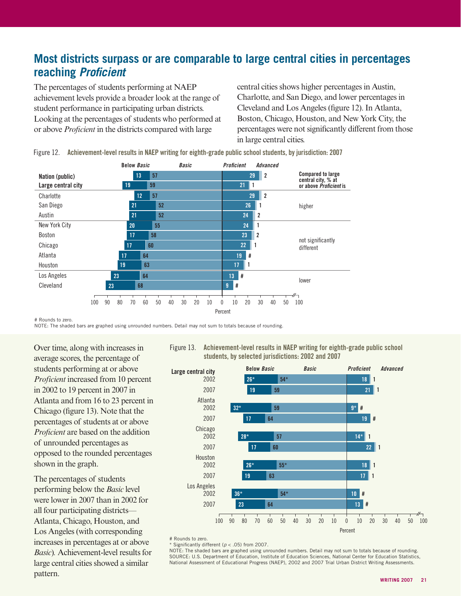# **Most districts surpass or are comparable to large central cities in percentages reaching Proficient**

The percentages of students performing at NAEP achievement levels provide a broader look at the range of student performance in participating urban districts. Looking at the percentages of students who performed at or above *Proficient* in the districts compared with large

central cities shows higher percentages in Austin, Charlotte, and San Diego, and lower percentages in Cleveland and Los Angeles (figure 12). In Atlanta, Boston, Chicago, Houston, and New York City, the percentages were not significantly different from those in large central cities.

Nation (public) **Charlotte** Large central city San Diego 21 <mark>21 52 26 1</mark> 26 1 New York City 20 20 55 24 1 Austin 21 52 20 24 <mark>2</mark> 13 57 29 2 19 **59 21 21** 12 57 29 2 Below Basic Basic Proficient Advanced Compared to large central city, % at<br>or above *Proficient* is higher

Figure 12. Achievement-level results in NAEP writing for eighth-grade public school students, by jurisdiction: 2007

Boston 17 58 23 23 2 Chicago **17 60 22 1** Atlanta 17 64 19 # Houston 19 <mark>19 63 17 17 1</mark> 100 90 80 70 60 50 40 30 20 10 0 10 20 30 40 50 Percent not significantly different  $\begin{array}{|c|c|c|c|}\n\hline\n23 & 64 \\
\hline\n\end{array}$  lower Cleveland **23 8 68 9 #** Los Angeles 23 100

# Rounds to zero.

NOTE: The shaded bars are graphed using unrounded numbers. Detail may not sum to totals because of rounding.

Over time, along with increases in average scores, the percentage of students performing at or above *Proficient* increased from 10 percent in 2002 to 19 percent in 2007 in Atlanta and from 16 to 23 percent in Chicago (figure 13). Note that the percentages of students at or above *Proficient* are based on the addition of unrounded percentages as opposed to the rounded percentages shown in the graph.

The percentages of students performing below the *Basic* level were lower in 2007 than in 2002 for all four participating districts— Atlanta, Chicago, Houston, and Los Angeles (with corresponding increases in percentages at or above *Basic*)*.* Achievement-level results for large central cities showed a similar pattern.

Figure 13. Achievement-level results in NAEP writing for eighth-grade public school students, by selected jurisdictions: 2002 and 2007

![](_page_13_Figure_10.jpeg)

# Rounds to zero.

Significantly different ( $p < .05$ ) from 2007.

NOTE: The shaded bars are graphed using unrounded numbers. Detail may not sum to totals because of rounding. SOURCE: U.S. Department of Education, Institute of Education Sciences, National Center for Education Statistics, National Assessment of Educational Progress (NAEP), 2002 and 2007 Trial Urban District Writing Assessments.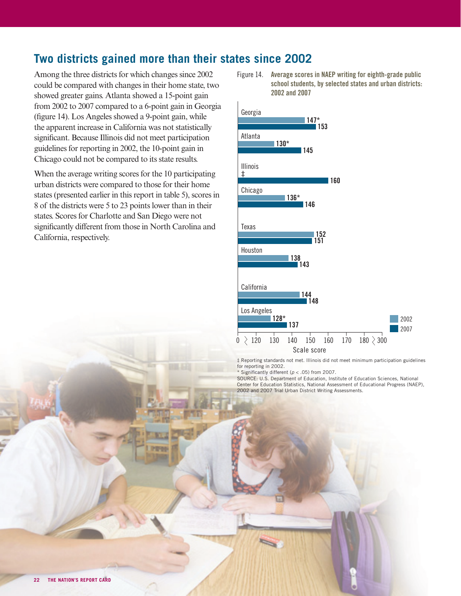# **Two districts gained more than their states since 2002**

Among the three districts for which changes since 2002 could be compared with changes in their home state, two showed greater gains. Atlanta showed a 15-point gain from 2002 to 2007 compared to a 6-point gain in Georgia (figure 14). Los Angeles showed a 9-point gain, while the apparent increase in California was not statistically significant. Because Illinois did not meet participation guidelines for reporting in 2002, the 10-point gain in Chicago could not be compared to its state results.

When the average writing scores for the 10 participating urban districts were compared to those for their home states (presented earlier in this report in table 5), scores in 8 of the districts were 5 to 23 points lower than in their states. Scores for Charlotte and San Diego were not significantly different from those in North Carolina and California, respectively.

Figure 14. Average scores in NAEP writing for eighth-grade public school students, by selected states and urban districts: 2002 and 2007

![](_page_14_Figure_4.jpeg)

‡ Reporting standards not met. Illinois did not meet minimum participation guidelines for reporting in 2002.

\* Significantly different ( $p < .05$ ) from 2007.

SOURCE: U.S. Department of Education, Institute of Education Sciences, National Center for Education Statistics, National Assessment of Educational Progress (NAEP), 2002 and 2007 Trial Urban District Writing Assessments.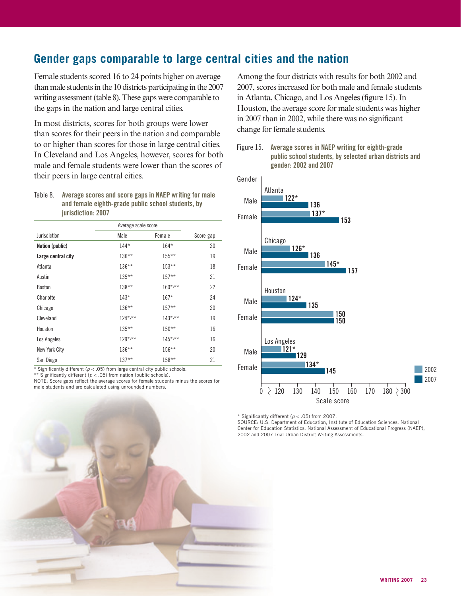# **Gender gaps comparable to large central cities and the nation**

Female students scored 16 to 24 points higher on average than male students in the 10 districts participating in the 2007 writing assessment (table 8). These gaps were comparable to the gaps in the nation and large central cities.

In most districts, scores for both groups were lower than scores for their peers in the nation and comparable to or higher than scores for those in large central cities. In Cleveland and Los Angeles, however, scores for both male and female students were lower than the scores of their peers in large central cities.

Table 8. Average scores and score gaps in NAEP writing for male and female eighth-grade public school students, by iurisdiction: 2007

|                    | Average scale score |              |           |
|--------------------|---------------------|--------------|-----------|
| Jurisdiction       | Male                | Female       | Score gap |
| Nation (public)    | $144*$              | $164*$       | 20        |
| Large central city | $136***$            | $155***$     | 19        |
| Atlanta            | 136**               | $153**$      | 18        |
| Austin             | $135***$            | $157**$      | 21        |
| <b>Boston</b>      | $138**$             | $160^{*,**}$ | 22        |
| Charlotte          | $143*$              | $167*$       | 24        |
| Chicago            | $136***$            | $157**$      | 20        |
| Cleveland          | $124^{*,**}$        | $143^{*,**}$ | 19        |
| Houston            | $135***$            | $150**$      | 16        |
| Los Angeles        | $129^{*,**}$        | $145^{*,**}$ | 16        |
| New York City      | $136***$            | $156***$     | 20        |
| San Diego          | $137**$             | $158**$      | 21        |

\* Significantly different ( $p < .05$ ) from large central city public schools.

\*\* Significantly different ( $p < .05$ ) from nation (public schools).

NOTE: Score gaps reflect the average scores for female students minus the scores for male students and are calculated using unrounded numbers.

Among the four districts with results for both 2002 and 2007, scores increased for both male and female students in Atlanta, Chicago, and Los Angeles (figure 15). In Houston, the average score for male students was higher in 2007 than in 2002, while there was no significant change for female students.

Figure 15. Average scores in NAEP writing for eighth-grade public school students, by selected urban districts and gender: 2002 and 2007

![](_page_15_Figure_10.jpeg)

\* Significantly different ( $p < .05$ ) from 2007.

SOURCE: U.S. Department of Education, Institute of Education Sciences, National Center for Education Statistics, National Assessment of Educational Progress (NAEP), 2002 and 2007 Trial Urban District Writing Assessments.

![](_page_15_Picture_13.jpeg)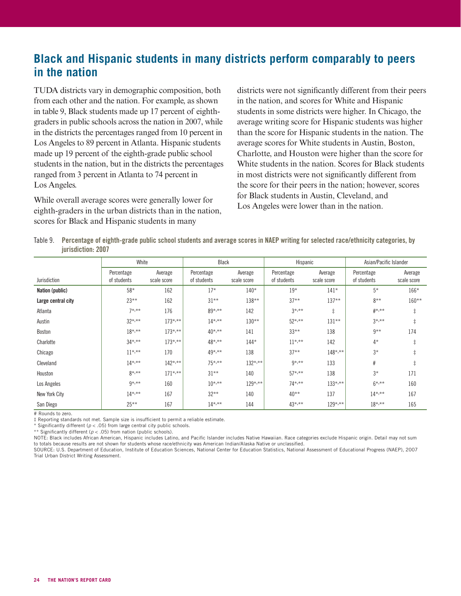# **Black and Hispanic students in many districts perform comparably to peers in the nation**

TUDA districts vary in demographic composition, both from each other and the nation. For example, as shown in table 9, Black students made up 17 percent of eighthgraders in public schools across the nation in 2007, while in the districts the percentages ranged from 10 percent in Los Angeles to 89 percent in Atlanta. Hispanic students made up 19 percent of the eighth-grade public school students in the nation, but in the districts the percentages ranged from 3 percent in Atlanta to 74 percent in Los Angeles.

While overall average scores were generally lower for eighth-graders in the urban districts than in the nation, scores for Black and Hispanic students in many

districts were not significantly different from their peers in the nation, and scores for White and Hispanic students in some districts were higher. In Chicago, the average writing score for Hispanic students was higher than the score for Hispanic students in the nation. The average scores for White students in Austin, Boston, Charlotte, and Houston were higher than the score for White students in the nation. Scores for Black students in most districts were not significantly different from the score for their peers in the nation; however, scores for Black students in Austin, Cleveland, and Los Angeles were lower than in the nation.

Table 9. Percentage of eighth-grade public school students and average scores in NAEP writing for selected race/ethnicity categories, by jurisdiction: 2007

|                    | White                     |                        |                           | Black                  |                           | Hispanic               |                           | Asian/Pacific Islander |  |
|--------------------|---------------------------|------------------------|---------------------------|------------------------|---------------------------|------------------------|---------------------------|------------------------|--|
| Jurisdiction       | Percentage<br>of students | Average<br>scale score | Percentage<br>of students | Average<br>scale score | Percentage<br>of students | Average<br>scale score | Percentage<br>of students | Average<br>scale score |  |
| Nation (public)    | $58*$                     | 162                    | $17*$                     | $140*$                 | $19*$                     | $141*$                 | $5*$                      | $166*$                 |  |
| Large central city | $23***$                   | 162                    | $31***$                   | 138**                  | $37**$                    | $137**$                | $8***$                    | $160**$                |  |
| Atlanta            | $7*, **$                  | 176                    | 89*,**                    | 142                    | $3*, **$                  | $\ddagger$             | $#^{*,**}$                | $\ddagger$             |  |
| Austin             | $32^{*,**}$               | $173^{*,**}$           | $14^{*,**}$               | $130**$                | $52^{*,**}$               | $131***$               | $3*, **$                  | $\ddagger$             |  |
| Boston             | $18^{*,**}$               | $173^{*,**}$           | $40^{*,**}$               | 141                    | $33***$                   | 138                    | $9**$                     | 174                    |  |
| Charlotte          | $34^{*,**}$               | $173^{*,**}$           | 48*,**                    | $144*$                 | $11^{*,**}$               | 142                    | $4*$                      | $\ddagger$             |  |
| Chicago            | $11^{*,**}$               | 170                    | 49*,**                    | 138                    | $37**$                    | $148$ *,**             | $3*$                      | $\ddagger$             |  |
| Cleveland          | $14^{*,**}$               | $142^{*,**}$           | $75^{*,**}$               | $132^{*,**}$           | $9*, **$                  | 133                    | #                         | $\ddagger$             |  |
| Houston            | $8*, **$                  | $171^{*,**}$           | $31***$                   | 140                    | $57^{*,**}$               | 138                    | $3*$                      | 171                    |  |
| Los Angeles        | $9*, **$                  | 160                    | $10^{*,**}$               | $129^{*,**}$           | $74^{*,**}$               | $133^{*,**}$           | $6*, **$                  | 160                    |  |
| New York City      | $14^{*,**}$               | 167                    | $32***$                   | 140                    | $40**$                    | 137                    | $14^{*,**}$               | 167                    |  |
| San Diego          | $25***$                   | 167                    | $14^{*,**}$               | 144                    | $43^{*,**}$               | $129^{*,**}$           | $18^{*,**}$               | 165                    |  |

# Rounds to zero.

 $\ddagger$  Reporting standards not met. Sample size is insufficient to permit a reliable estimate.

Significantly different ( $p < .05$ ) from large central city public schools.

\*\* Significantly different ( $p < .05$ ) from nation (public schools).

NOTE: Black includes African American, Hispanic includes Latino, and Pacific Islander includes Native Hawaiian. Race categories exclude Hispanic origin. Detail may not sum to totals because results are not shown for students whose race/ethnicity was American Indian/Alaska Native or unclassified.

SOURCE: U.S. Department of Education, Institute of Education Sciences, National Center for Education Statistics, National Assessment of Educational Progress (NAEP), 2007 Trial Urban District Writing Assessment.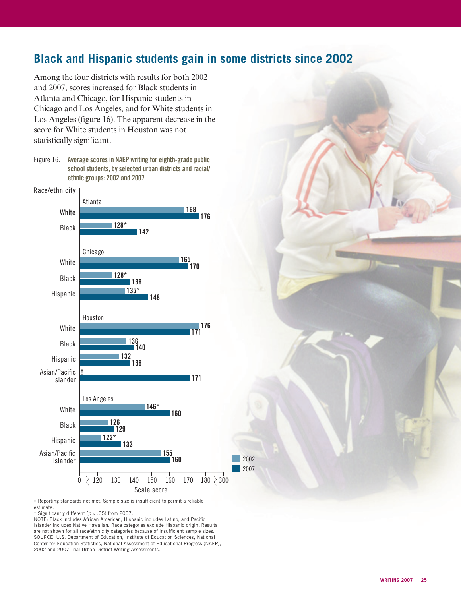# **Black and Hispanic students gain in some districts since 2002**

2002 2007

Among the four districts with results for both 2002 and 2007, scores increased for Black students in Atlanta and Chicago, for Hispanic students in Chicago and Los Angeles, and for White students in Los Angeles (figure 16). The apparent decrease in the score for White students in Houston was not statistically significant.

Figure 16. Average scores in NAEP writing for eighth-grade public school students, by selected urban districts and racial/ ethnic groups: 2002 and 2007

![](_page_17_Figure_3.jpeg)

 $\ddagger$  Reporting standards not met. Sample size is insufficient to permit a reliable estimate.

 $*$  Significantly different ( $p < .05$ ) from 2007.

NOTE: Black includes African American, Hispanic includes Latino, and Pacific Islander includes Native Hawaiian. Race categories exclude Hispanic origin. Results are not shown for all race/ethnicity categories because of insufficient sample sizes. SOURCE: U.S. Department of Education, Institute of Education Sciences, National Center for Education Statistics, National Assessment of Educational Progress (NAEP), 2002 and 2007 Trial Urban District Writing Assessments.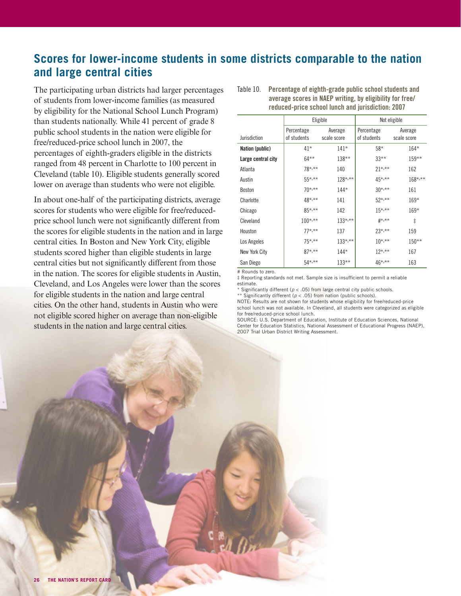# **Scores for lower-income students in some districts comparable to the nation and large central cities**

The participating urban districts had larger percentages of students from lower-income families (as measured by eligibility for the National School Lunch Program) than students nationally. While 41 percent of grade 8 public school students in the nation were eligible for free/reduced-price school lunch in 2007, the percentages of eighth-graders eligible in the districts ranged from 48 percent in Charlotte to 100 percent in Cleveland (table 10). Eligible students generally scored lower on average than students who were not eligible.

In about one-half of the participating districts, average scores for students who were eligible for free/reducedprice school lunch were not significantly different from the scores for eligible students in the nation and in large central cities. In Boston and New York City, eligible students scored higher than eligible students in large central cities but not significantly different from those in the nation. The scores for eligible students in Austin, Cleveland, and Los Angeles were lower than the scores for eligible students in the nation and large central cities. On the other hand, students in Austin who were not eligible scored higher on average than non-eligible students in the nation and large central cities.

|                    |              | Eligible     | Not eligible               |              |  |
|--------------------|--------------|--------------|----------------------------|--------------|--|
|                    | Percentage   | Average      | Percentage                 | Average      |  |
| Jurisdiction       | of students  | scale score  | of students                | scale score  |  |
| Nation (public)    | $41*$        | $141*$       | $58*$                      | $164*$       |  |
| Large central city | $64***$      | $138***$     | $33***$                    | $159**$      |  |
| Atlanta            | 78*,**       | 140          | $21^{*,**}$                | 162          |  |
| Austin             | $55^{*,**}$  | $128$ *,**   | $45*,***$                  | $168^{*,**}$ |  |
| Boston             | $70^{*,**}$  | $144*$       | $30^{*,**}$                | 161          |  |
| Charlotte          | 48*,**       | 141          | $52*,***$                  | $169*$       |  |
| Chicago            | $85^{*,**}$  | 142          | $15^{*,**}$                | $169*$       |  |
| Cleveland          | $100^{*,**}$ | $133^{*,**}$ | $_{\#^{\star,\star\star}}$ | ŧ            |  |
| Houston            | $77^{*,**}$  | 137          | $23^{*,**}$                | 159          |  |
| Los Angeles        | $75*,***$    | $133^{*,**}$ | $10^{*,**}$                | $150**$      |  |
| New York City      | $87^{*,**}$  | $144*$       | $12^{*,**}$                | 167          |  |
| San Diego          | $54*,***$    | $133***$     | $46^{*,**}$                | 163          |  |

Table 10. Percentage of eighth-grade public school students and average scores in NAEP writing, by eligibility for free/ reduced-price school lunch and jurisdiction: 2007

# Rounds to zero.

 $\ddagger$  Reporting standards not met. Sample size is insufficient to permit a reliable estimate.

\* Significantly different ( $p < .05$ ) from large central city public schools.

\*\* Significantly different ( $p < .05$ ) from nation (public schools).

NOTE: Results are not shown for students whose eligibility for free/reduced-price school lunch was not available. In Cleveland, all students were categorized as eligible for free/reduced-price school lunch.

SOURCE: U.S. Department of Education, Institute of Education Sciences, National Center for Education Statistics, National Assessment of Educational Progress (NAEP), 2007 Trial Urban District Writing Assessment.